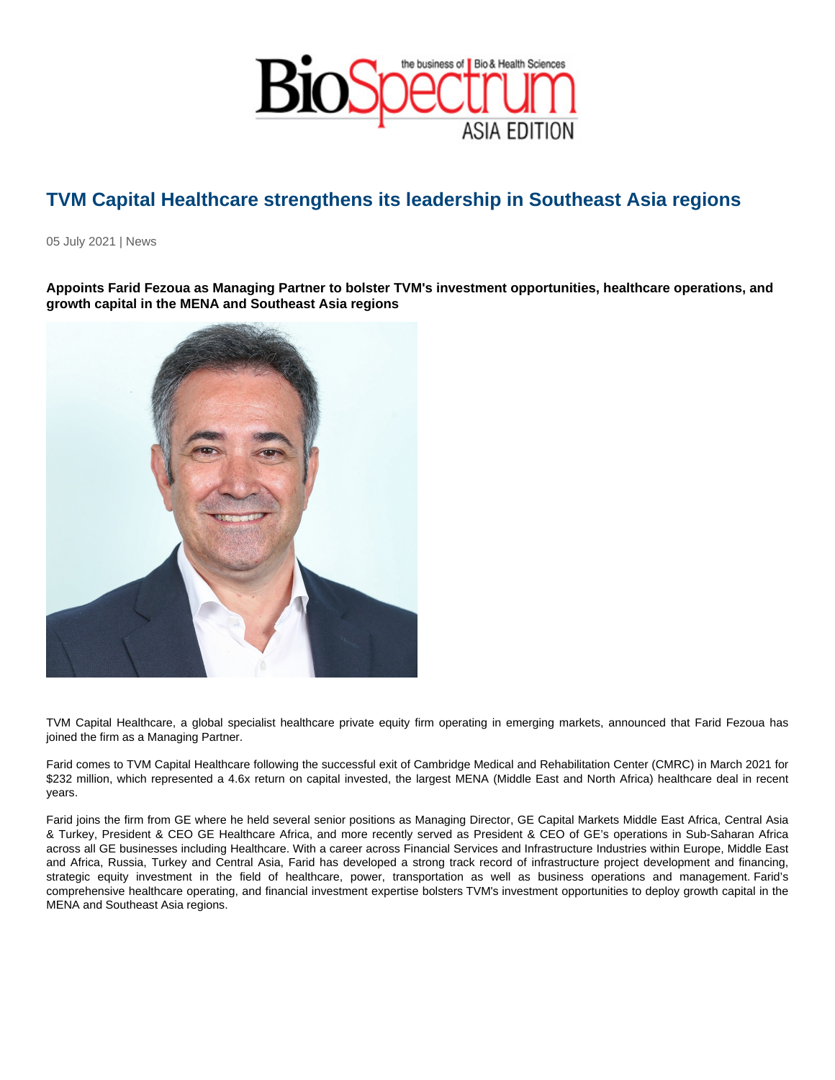## TVM Capital Healthcare strengthens its leadership in Southeast Asia regions

05 July 2021 | News

Appoints Farid Fezoua as Managing Partner to bolster TVM's investment opportunities, healthcare operations, and growth capital in the MENA and Southeast Asia regions

TVM Capital Healthcare, a global specialist healthcare private equity firm operating in emerging markets, announced that Farid Fezoua has joined the firm as a Managing Partner.

Farid comes to TVM Capital Healthcare following the successful exit of Cambridge Medical and Rehabilitation Center (CMRC) in March 2021 for \$232 million, which represented a 4.6x return on capital invested, the largest MENA (Middle East and North Africa) healthcare deal in recent years.

Farid joins the firm from GE where he held several senior positions as Managing Director, GE Capital Markets Middle East Africa, Central Asia & Turkey, President & CEO GE Healthcare Africa, and more recently served as President & CEO of GE's operations in Sub-Saharan Africa across all GE businesses including Healthcare. With a career across Financial Services and Infrastructure Industries within Europe, Middle East and Africa, Russia, Turkey and Central Asia, Farid has developed a strong track record of infrastructure project development and financing, strategic equity investment in the field of healthcare, power, transportation as well as business operations and management. Farid's comprehensive healthcare operating, and financial investment expertise bolsters TVM's investment opportunities to deploy growth capital in the MENA and Southeast Asia regions.